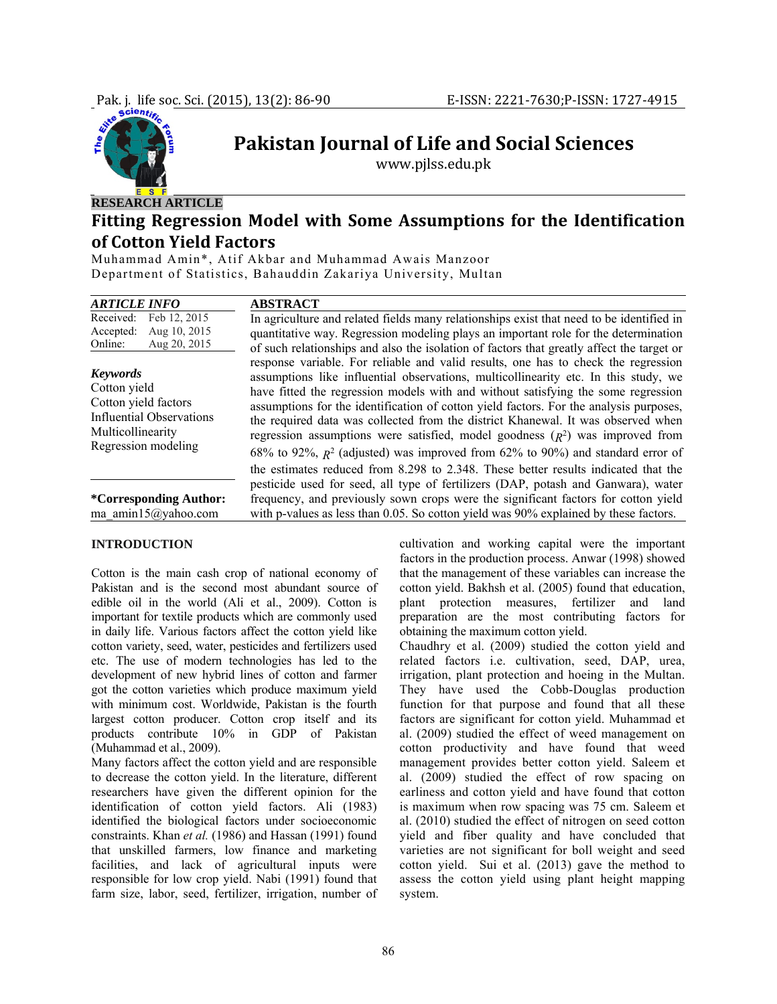

# **Pakistan Journal of Life and Social Sciences**

www.pjlss.edu.pk

# **RESEARCH ARTICLE Fitting Regression Model with Some Assumptions for the Identification of Cotton Yield Factors**

Muhammad Amin\*, Atif Akbar and Muhammad Awais Manzoor Department of Statistics, Bahauddin Zakariya University, Multan

| <b>ARTICLE INFO</b>                                                                                                                    | <b>ABSTRACT</b>                                                                                                                                                                                                                                                                                                                                                                                                                                                                                                                                                                                                                                                                                           |  |
|----------------------------------------------------------------------------------------------------------------------------------------|-----------------------------------------------------------------------------------------------------------------------------------------------------------------------------------------------------------------------------------------------------------------------------------------------------------------------------------------------------------------------------------------------------------------------------------------------------------------------------------------------------------------------------------------------------------------------------------------------------------------------------------------------------------------------------------------------------------|--|
| Feb 12, 2015<br>Received:<br>Aug 10, 2015<br>Accepted:<br>Aug 20, 2015<br>Online:                                                      | In agriculture and related fields many relationships exist that need to be identified in<br>quantitative way. Regression modeling plays an important role for the determination<br>of such relationships and also the isolation of factors that greatly affect the target or                                                                                                                                                                                                                                                                                                                                                                                                                              |  |
| <b>Keywords</b><br>Cotton yield<br>Cotton yield factors<br><b>Influential Observations</b><br>Multicollinearity<br>Regression modeling | response variable. For reliable and valid results, one has to check the regression<br>assumptions like influential observations, multicollinearity etc. In this study, we<br>have fitted the regression models with and without satisfying the some regression<br>assumptions for the identification of cotton yield factors. For the analysis purposes,<br>the required data was collected from the district Khanewal. It was observed when<br>regression assumptions were satisfied, model goodness $(R^2)$ was improved from<br>68% to 92%, $R^2$ (adjusted) was improved from 62% to 90%) and standard error of<br>the estimates reduced from 8.298 to 2.348. These better results indicated that the |  |
| <i>*</i> Corresponding Author:<br>ma amin15@yahoo.com                                                                                  | pesticide used for seed, all type of fertilizers (DAP, potash and Ganwara), water<br>frequency, and previously sown crops were the significant factors for cotton yield<br>with p-values as less than 0.05. So cotton yield was 90% explained by these factors.                                                                                                                                                                                                                                                                                                                                                                                                                                           |  |

### **INTRODUCTION**

Cotton is the main cash crop of national economy of Pakistan and is the second most abundant source of edible oil in the world (Ali et al., 2009). Cotton is important for textile products which are commonly used in daily life. Various factors affect the cotton yield like cotton variety, seed, water, pesticides and fertilizers used etc. The use of modern technologies has led to the development of new hybrid lines of cotton and farmer got the cotton varieties which produce maximum yield with minimum cost. Worldwide, Pakistan is the fourth largest cotton producer. Cotton crop itself and its products contribute 10% in GDP of Pakistan (Muhammad et al., 2009).

Many factors affect the cotton yield and are responsible to decrease the cotton yield. In the literature, different researchers have given the different opinion for the identification of cotton yield factors. Ali (1983) identified the biological factors under socioeconomic constraints. Khan *et al.* (1986) and Hassan (1991) found that unskilled farmers, low finance and marketing facilities, and lack of agricultural inputs were responsible for low crop yield. Nabi (1991) found that farm size, labor, seed, fertilizer, irrigation, number of cultivation and working capital were the important factors in the production process. Anwar (1998) showed that the management of these variables can increase the cotton yield. Bakhsh et al. (2005) found that education, plant protection measures, fertilizer and land preparation are the most contributing factors for obtaining the maximum cotton yield.

Chaudhry et al. (2009) studied the cotton yield and related factors i.e. cultivation, seed, DAP, urea, irrigation, plant protection and hoeing in the Multan. They have used the Cobb-Douglas production function for that purpose and found that all these factors are significant for cotton yield. Muhammad et al. (2009) studied the effect of weed management on cotton productivity and have found that weed management provides better cotton yield. Saleem et al. (2009) studied the effect of row spacing on earliness and cotton yield and have found that cotton is maximum when row spacing was 75 cm. Saleem et al. (2010) studied the effect of nitrogen on seed cotton yield and fiber quality and have concluded that varieties are not significant for boll weight and seed cotton yield. Sui et al. (2013) gave the method to assess the cotton yield using plant height mapping system.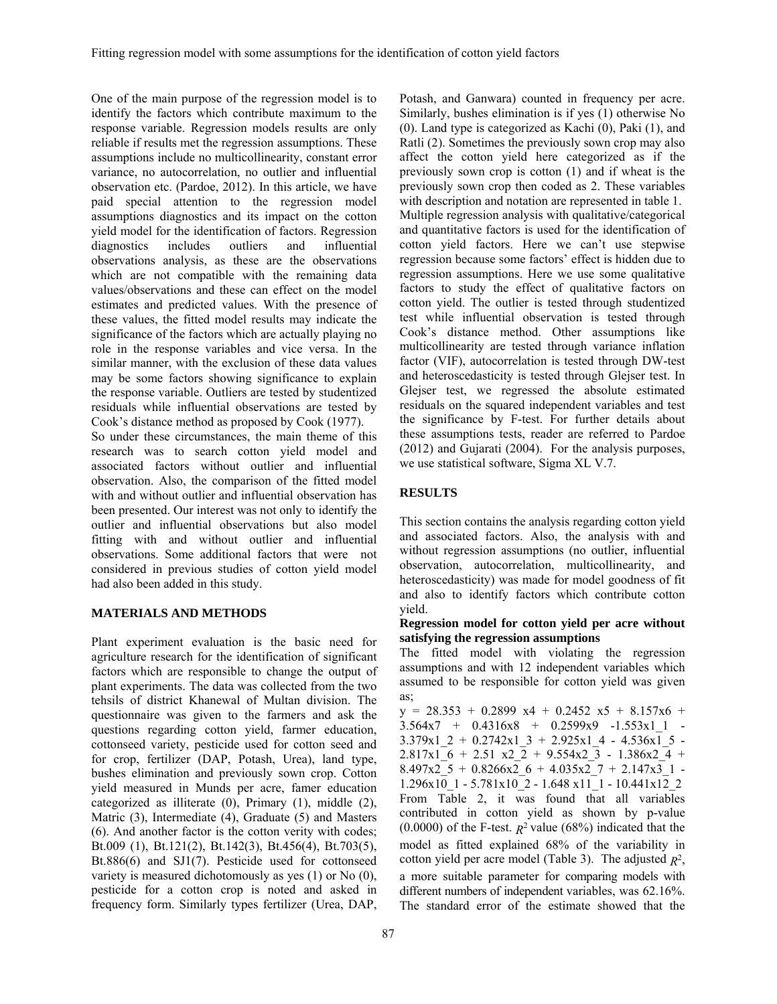One of the main purpose of the regression model is to identify the factors which contribute maximum to the response variable. Regression models results are only reliable if results met the regression assumptions. These assumptions include no multicollinearity, constant error variance, no autocorrelation, no outlier and influential observation etc. (Pardoe, 2012). In this article, we have paid special attention to the regression model assumptions diagnostics and its impact on the cotton yield model for the identification of factors. Regression diagnostics includes outliers and influential observations analysis, as these are the observations which are not compatible with the remaining data values/observations and these can effect on the model estimates and predicted values. With the presence of these values, the fitted model results may indicate the significance of the factors which are actually playing no role in the response variables and vice versa. In the similar manner, with the exclusion of these data values may be some factors showing significance to explain the response variable. Outliers are tested by studentized residuals while influential observations are tested by Cook's distance method as proposed by Cook (1977).

So under these circumstances, the main theme of this research was to search cotton yield model and associated factors without outlier and influential observation. Also, the comparison of the fitted model with and without outlier and influential observation has been presented. Our interest was not only to identify the outlier and influential observations but also model fitting with and without outlier and influential observations. Some additional factors that were not considered in previous studies of cotton yield model had also been added in this study.

#### **MATERIALS AND METHODS**

Plant experiment evaluation is the basic need for agriculture research for the identification of significant factors which are responsible to change the output of plant experiments. The data was collected from the two tehsils of district Khanewal of Multan division. The questionnaire was given to the farmers and ask the questions regarding cotton yield, farmer education, cottonseed variety, pesticide used for cotton seed and for crop, fertilizer (DAP, Potash, Urea), land type, bushes elimination and previously sown crop. Cotton yield measured in Munds per acre, famer education categorized as illiterate (0), Primary (1), middle (2), Matric (3), Intermediate (4), Graduate (5) and Masters (6). And another factor is the cotton verity with codes; Bt.009 (1), Bt.121(2), Bt.142(3), Bt.456(4), Bt.703(5), Bt.886(6) and SJ1(7). Pesticide used for cottonseed variety is measured dichotomously as yes (1) or No (0), pesticide for a cotton crop is noted and asked in frequency form. Similarly types fertilizer (Urea, DAP,

Potash, and Ganwara) counted in frequency per acre. Similarly, bushes elimination is if yes (1) otherwise No (0). Land type is categorized as Kachi (0), Paki (1), and Ratli (2). Sometimes the previously sown crop may also affect the cotton yield here categorized as if the previously sown crop is cotton (1) and if wheat is the previously sown crop then coded as 2. These variables with description and notation are represented in table 1. Multiple regression analysis with qualitative/categorical and quantitative factors is used for the identification of cotton yield factors. Here we can't use stepwise regression because some factors' effect is hidden due to regression assumptions. Here we use some qualitative factors to study the effect of qualitative factors on cotton yield. The outlier is tested through studentized test while influential observation is tested through Cook's distance method. Other assumptions like multicollinearity are tested through variance inflation factor (VIF), autocorrelation is tested through DW-test and heteroscedasticity is tested through Glejser test. In Glejser test, we regressed the absolute estimated residuals on the squared independent variables and test the significance by F-test. For further details about these assumptions tests, reader are referred to Pardoe (2012) and Gujarati (2004). For the analysis purposes, we use statistical software, Sigma XL V.7.

# **RESULTS**

This section contains the analysis regarding cotton yield and associated factors. Also, the analysis with and without regression assumptions (no outlier, influential observation, autocorrelation, multicollinearity, and heteroscedasticity) was made for model goodness of fit and also to identify factors which contribute cotton yield.

#### **Regression model for cotton yield per acre without satisfying the regression assumptions**

The fitted model with violating the regression assumptions and with 12 independent variables which assumed to be responsible for cotton yield was given as;

 $y = 28.353 + 0.2899$   $x4 + 0.2452$   $x5 + 8.157x6 +$ 3.564x7 + 0.4316x8 + 0.2599x9 -1.553x1\_1 -  $3.379x1$  2 + 0.2742x1 3 + 2.925x1 4 - 4.536x1 5 - $2.817x1^{-}6 + 2.51$   $x2\overline{2} + 9.554x2\overline{3} - 1.386x2\overline{4} +$ 8.497x2  $5 + 0.8266x26 + 4.035x27 + 2.147x31$  -1.296x10\_1 - 5.781x10\_2 - 1.648 x11\_1 - 10.441x12\_2 From Table 2, it was found that all variables contributed in cotton yield as shown by p-value (0.0000) of the F-test.  $R^2$  value (68%) indicated that the model as fitted explained 68% of the variability in cotton yield per acre model (Table 3). The adjusted *R*2, a more suitable parameter for comparing models with different numbers of independent variables, was 62.16%. The standard error of the estimate showed that the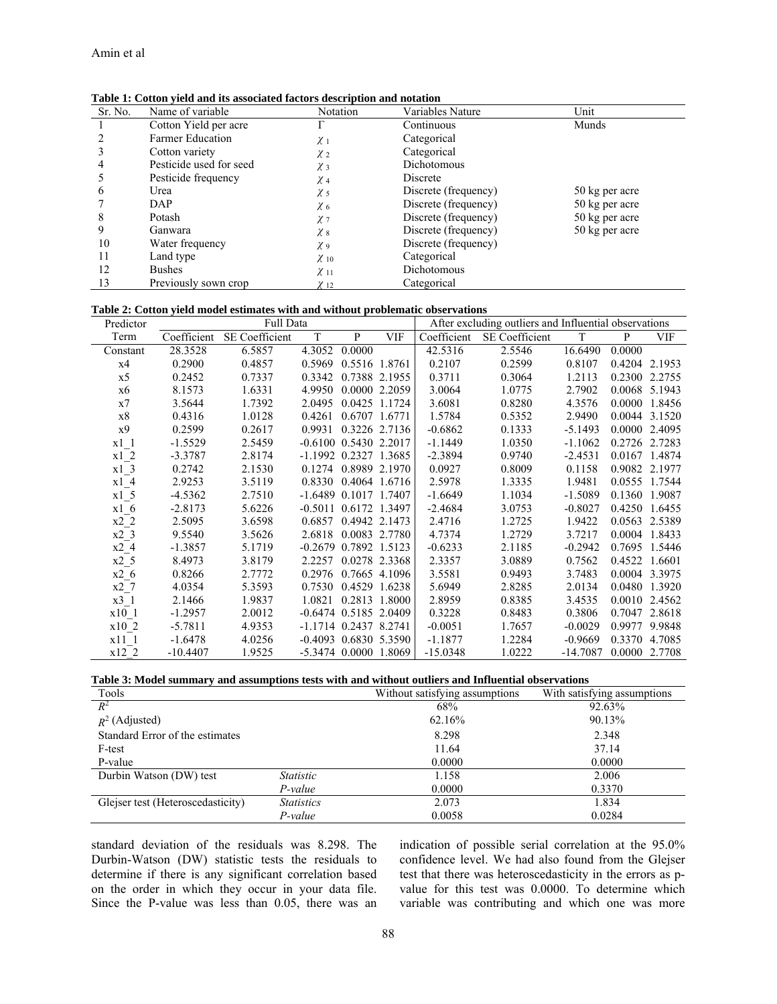| Table 1: Cotton yield and its associated factors description and notation |                         |             |                      |                |  |
|---------------------------------------------------------------------------|-------------------------|-------------|----------------------|----------------|--|
| Sr. No.                                                                   | Name of variable        | Notation    | Variables Nature     | Unit           |  |
|                                                                           | Cotton Yield per acre   |             | Continuous           | Munds          |  |
|                                                                           | <b>Farmer Education</b> | $\chi_{1}$  | Categorical          |                |  |
|                                                                           | Cotton variety          | χ2          | Categorical          |                |  |
| 4                                                                         | Pesticide used for seed | $\chi_3$    | Dichotomous          |                |  |
|                                                                           | Pesticide frequency     | $\chi$ 4    | Discrete             |                |  |
| 6                                                                         | Urea                    | $\chi$ 5    | Discrete (frequency) | 50 kg per acre |  |
|                                                                           | DAP                     | $\chi$ 6    | Discrete (frequency) | 50 kg per acre |  |
| 8                                                                         | Potash                  | $\chi$ 7    | Discrete (frequency) | 50 kg per acre |  |
| 9                                                                         | Ganwara                 | $\chi_{8}$  | Discrete (frequency) | 50 kg per acre |  |
| 10                                                                        | Water frequency         | $\chi$ 9    | Discrete (frequency) |                |  |
| 11                                                                        | Land type               | $\chi_{10}$ | Categorical          |                |  |
| 12                                                                        | <b>Bushes</b>           | $\chi_{11}$ | Dichotomous          |                |  |
| 13                                                                        | Previously sown crop    | $\chi_{12}$ | Categorical          |                |  |

|  | Table 2: Cotton yield model estimates with and without problematic observations |  |
|--|---------------------------------------------------------------------------------|--|
|  |                                                                                 |  |

| Predictor                                                      | Full Data   |                |                             | After excluding outliers and Influential observations |               |             |                |            |        |               |
|----------------------------------------------------------------|-------------|----------------|-----------------------------|-------------------------------------------------------|---------------|-------------|----------------|------------|--------|---------------|
| Term                                                           | Coefficient | SE Coefficient | T                           | P                                                     | VIF           | Coefficient | SE Coefficient | T          | P      | VIF           |
| Constant                                                       | 28.3528     | 6.5857         | 4.3052                      | 0.0000                                                |               | 42.5316     | 2.5546         | 16.6490    | 0.0000 |               |
| x4                                                             | 0.2900      | 0.4857         | 0.5969                      |                                                       | 0.5516 1.8761 | 0.2107      | 0.2599         | 0.8107     |        | 0.4204 2.1953 |
| x <sub>5</sub>                                                 | 0.2452      | 0.7337         | 0.3342                      |                                                       | 0.7388 2.1955 | 0.3711      | 0.3064         | 1.2113     |        | 0.2300 2.2755 |
| x6                                                             | 8.1573      | 1.6331         | 4.9950                      |                                                       | 0.0000 2.2059 | 3.0064      | 1.0775         | 2.7902     |        | 0.0068 5.1943 |
| x7                                                             | 3.5644      | 1.7392         | 2.0495                      |                                                       | 0.0425 1.1724 | 3.6081      | 0.8280         | 4.3576     | 0.0000 | 1.8456        |
| x8                                                             | 0.4316      | 1.0128         | 0.4261                      | 0.6707 1.6771                                         |               | 1.5784      | 0.5352         | 2.9490     |        | 0.0044 3.1520 |
| x9                                                             | 0.2599      | 0.2617         | 0.9931                      |                                                       | 0.3226 2.7136 | $-0.6862$   | 0.1333         | $-5.1493$  |        | 0.0000 2.4095 |
| $x1_1$                                                         | $-1.5529$   | 2.5459         | $-0.6100$ $0.5430$ 2.2017   |                                                       |               | $-1.1449$   | 1.0350         | $-1.1062$  |        | 0.2726 2.7283 |
| $x1_2$                                                         | $-3.3787$   | 2.8174         | $-1.1992$ 0.2327 1.3685     |                                                       |               | $-2.3894$   | 0.9740         | $-2.4531$  | 0.0167 | 1.4874        |
| $x1_3$                                                         | 0.2742      | 2.1530         |                             | 0.1274 0.8989 2.1970                                  |               | 0.0927      | 0.8009         | 0.1158     |        | 0.9082 2.1977 |
| $x1_4$                                                         | 2.9253      | 3.5119         |                             | 0.8330 0.4064 1.6716                                  |               | 2.5978      | 1.3335         | 1.9481     |        | 0.0555 1.7544 |
| $x1\overline{\smash{\big)}5}$<br>$x1\overline{\smash{\big)}6}$ | $-4.5362$   | 2.7510         | $-1.6489$ 0.1017 1.7407     |                                                       |               | $-1.6649$   | 1.1034         | $-1.5089$  | 0.1360 | 1.9087        |
|                                                                | $-2.8173$   | 5.6226         | $-0.5011$ $0.6172$ 1.3497   |                                                       |               | $-2.4684$   | 3.0753         | $-0.8027$  | 0.4250 | 1.6455        |
| $x2_2$                                                         | 2.5095      | 3.6598         | 0.6857                      | 0.4942 2.1473                                         |               | 2.4716      | 1.2725         | 1.9422     |        | 0.0563 2.5389 |
| $x2\overline{3}$                                               | 9.5540      | 3.5626         | 2.6818                      | 0.0083 2.7780                                         |               | 4.7374      | 1.2729         | 3.7217     |        | 0.0004 1.8433 |
| $x2_4$                                                         | $-1.3857$   | 5.1719         | $-0.2679$                   | 0.7892 1.5123                                         |               | $-0.6233$   | 2.1185         | $-0.2942$  | 0.7695 | 1.5446        |
| $x2_{-}5$                                                      | 8.4973      | 3.8179         | 2.2257                      |                                                       | 0.0278 2.3368 | 2.3357      | 3.0889         | 0.7562     | 0.4522 | 1.6601        |
| $x2_6$                                                         | 0.8266      | 2.7772         | 0.2976                      |                                                       | 0.7665 4.1096 | 3.5581      | 0.9493         | 3.7483     |        | 0.0004 3.3975 |
| x27                                                            | 4.0354      | 5.3593         | 0.7530                      | 0.4529 1.6238                                         |               | 5.6949      | 2.8285         | 2.0134     |        | 0.0480 1.3920 |
| $x3_1$                                                         | 2.1466      | 1.9837         | 1.0821                      |                                                       | 0.2813 1.8000 | 2.8959      | 0.8385         | 3.4535     |        | 0.0010 2.4562 |
| $x10_1$                                                        | $-1.2957$   | 2.0012         | $-0.6474$ 0.5185 2.0409     |                                                       |               | 0.3228      | 0.8483         | 0.3806     |        | 0.7047 2.8618 |
| x10 2                                                          | $-5.7811$   | 4.9353         | $-1.1714$ 0.2437 8.2741     |                                                       |               | $-0.0051$   | 1.7657         | $-0.0029$  | 0.9977 | 9.9848        |
| $x11_1$                                                        | $-1.6478$   | 4.0256         | $-0.4093$ $0.6830$ $5.3590$ |                                                       |               | $-1.1877$   | 1.2284         | $-0.9669$  |        | 0.3370 4.7085 |
| x12 2                                                          | $-10.4407$  | 1.9525         | -5.3474 0.0000 1.8069       |                                                       |               | $-15.0348$  | 1.0222         | $-14.7087$ |        | 0.0000 2.7708 |

| Table 3: Model summary and assumptions tests with and without outliers and Influential observations |
|-----------------------------------------------------------------------------------------------------|
|-----------------------------------------------------------------------------------------------------|

| Tools                             |                   | Without satisfying assumptions | With satisfying assumptions |
|-----------------------------------|-------------------|--------------------------------|-----------------------------|
| $R^2$                             |                   | 68%                            | 92.63%                      |
| $R^2$ (Adjusted)                  |                   | 62.16%                         | 90.13%                      |
| Standard Error of the estimates   |                   | 8.298                          | 2.348                       |
| F-test                            |                   | 11.64                          | 37.14                       |
| P-value                           |                   | 0.0000                         | 0.0000                      |
| Durbin Watson (DW) test           | <i>Statistic</i>  | 1.158                          | 2.006                       |
|                                   | $P-value$         | 0.0000                         | 0.3370                      |
| Glejser test (Heteroscedasticity) | <b>Statistics</b> | 2.073                          | 1.834                       |
|                                   | P-value           | 0.0058                         | 0.0284                      |

standard deviation of the residuals was 8.298. The Durbin-Watson (DW) statistic tests the residuals to determine if there is any significant correlation based on the order in which they occur in your data file. Since the P-value was less than 0.05, there was an

indication of possible serial correlation at the 95.0% confidence level. We had also found from the Glejser test that there was heteroscedasticity in the errors as pvalue for this test was 0.0000. To determine which variable was contributing and which one was more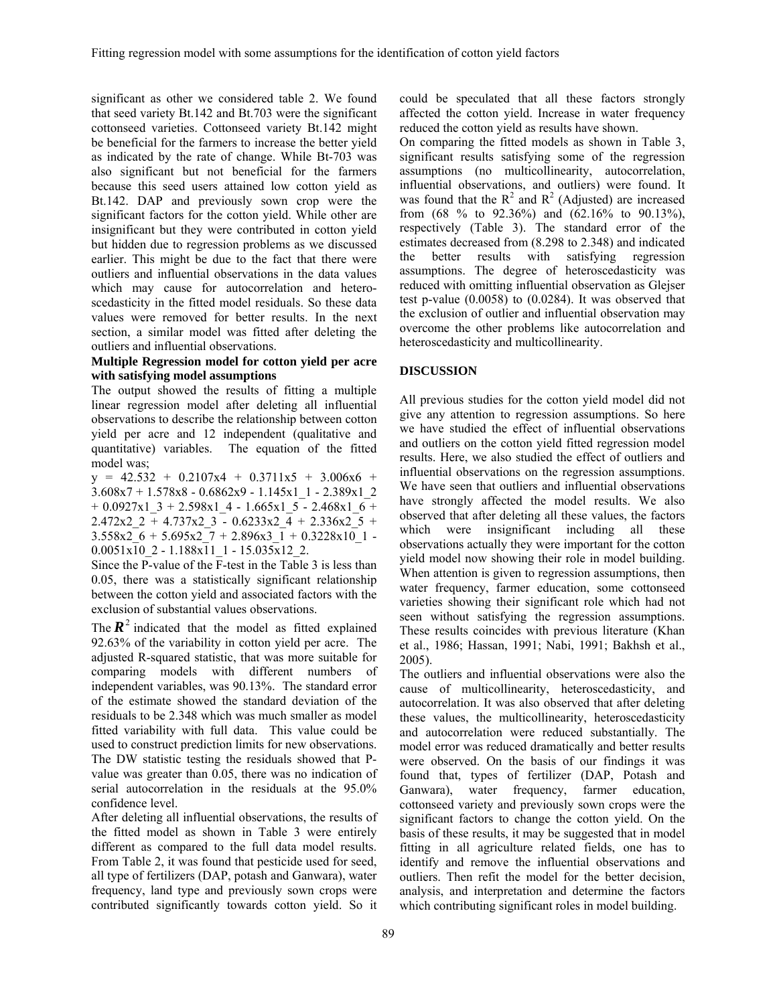significant as other we considered table 2. We found that seed variety Bt.142 and Bt.703 were the significant cottonseed varieties. Cottonseed variety Bt.142 might be beneficial for the farmers to increase the better yield as indicated by the rate of change. While Bt-703 was also significant but not beneficial for the farmers because this seed users attained low cotton yield as Bt.142. DAP and previously sown crop were the significant factors for the cotton yield. While other are insignificant but they were contributed in cotton yield but hidden due to regression problems as we discussed earlier. This might be due to the fact that there were outliers and influential observations in the data values which may cause for autocorrelation and heteroscedasticity in the fitted model residuals. So these data values were removed for better results. In the next section, a similar model was fitted after deleting the outliers and influential observations.

#### **Multiple Regression model for cotton yield per acre with satisfying model assumptions**

The output showed the results of fitting a multiple linear regression model after deleting all influential observations to describe the relationship between cotton yield per acre and 12 independent (qualitative and quantitative) variables. The equation of the fitted model was;

 $y = 42.532 + 0.2107x4 + 0.3711x5 + 3.006x6 +$ 3.608x7 + 1.578x8 - 0.6862x9 - 1.145x1\_1 - 2.389x1\_2  $+ 0.0927x1$  3 + 2.598x1 4 - 1.665x1 5 - 2.468x1 6 +  $2.472x2$  2 + 4.737x2 3 - 0.6233x2 4 + 2.336x2 5 +  $3.558x2_6 + 5.695x2_7 + 2.896x3_1 + 0.3228x10_1$ 0.0051x10\_2 - 1.188x11\_1 - 15.035x12\_2.

Since the P-value of the F-test in the Table 3 is less than 0.05, there was a statistically significant relationship between the cotton yield and associated factors with the exclusion of substantial values observations.

The  $\mathbb{R}^2$  indicated that the model as fitted explained 92.63% of the variability in cotton yield per acre. The adjusted R-squared statistic, that was more suitable for comparing models with different numbers of independent variables, was 90.13%. The standard error of the estimate showed the standard deviation of the residuals to be 2.348 which was much smaller as model fitted variability with full data. This value could be used to construct prediction limits for new observations. The DW statistic testing the residuals showed that Pvalue was greater than 0.05, there was no indication of serial autocorrelation in the residuals at the 95.0% confidence level.

After deleting all influential observations, the results of the fitted model as shown in Table 3 were entirely different as compared to the full data model results. From Table 2, it was found that pesticide used for seed, all type of fertilizers (DAP, potash and Ganwara), water frequency, land type and previously sown crops were contributed significantly towards cotton yield. So it

could be speculated that all these factors strongly affected the cotton yield. Increase in water frequency reduced the cotton yield as results have shown.

On comparing the fitted models as shown in Table 3, significant results satisfying some of the regression assumptions (no multicollinearity, autocorrelation, influential observations, and outliers) were found. It was found that the  $R^2$  and  $R^2$  (Adjusted) are increased from  $(68 \text{ % to } 92.36\%)$  and  $(62.16\% \text{ to } 90.13\%).$ respectively (Table 3). The standard error of the estimates decreased from (8.298 to 2.348) and indicated the better results with satisfying regression assumptions. The degree of heteroscedasticity was reduced with omitting influential observation as Glejser test p-value (0.0058) to (0.0284). It was observed that the exclusion of outlier and influential observation may overcome the other problems like autocorrelation and heteroscedasticity and multicollinearity.

# **DISCUSSION**

All previous studies for the cotton yield model did not give any attention to regression assumptions. So here we have studied the effect of influential observations and outliers on the cotton yield fitted regression model results. Here, we also studied the effect of outliers and influential observations on the regression assumptions. We have seen that outliers and influential observations have strongly affected the model results. We also observed that after deleting all these values, the factors which were insignificant including all these observations actually they were important for the cotton yield model now showing their role in model building. When attention is given to regression assumptions, then water frequency, farmer education, some cottonseed varieties showing their significant role which had not seen without satisfying the regression assumptions. These results coincides with previous literature (Khan et al., 1986; Hassan, 1991; Nabi, 1991; Bakhsh et al., 2005).

The outliers and influential observations were also the cause of multicollinearity, heteroscedasticity, and autocorrelation. It was also observed that after deleting these values, the multicollinearity, heteroscedasticity and autocorrelation were reduced substantially. The model error was reduced dramatically and better results were observed. On the basis of our findings it was found that, types of fertilizer (DAP, Potash and Ganwara), water frequency, farmer education, cottonseed variety and previously sown crops were the significant factors to change the cotton yield. On the basis of these results, it may be suggested that in model fitting in all agriculture related fields, one has to identify and remove the influential observations and outliers. Then refit the model for the better decision, analysis, and interpretation and determine the factors which contributing significant roles in model building.